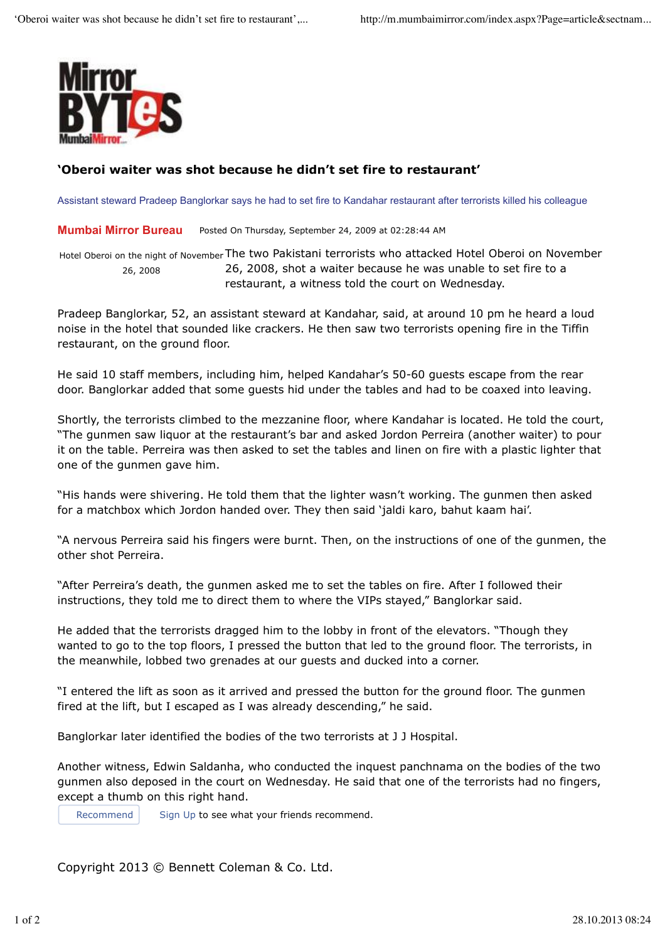

## **'Oberoi waiter was shot because he didn't set fire to restaurant'**

Assistant steward Pradeep Banglorkar says he had to set fire to Kandahar restaurant after terrorists killed his colleague

**Mumbai Mirror Bureau** Posted On Thursday, September 24, 2009 at 02:28:44 AM

Hotel Oberoi on the night of November The two Pakistani terrorists who attacked Hotel Oberoi on November 26, 2008 26, 2008, shot a waiter because he was unable to set fire to a restaurant, a witness told the court on Wednesday.

Pradeep Banglorkar, 52, an assistant steward at Kandahar, said, at around 10 pm he heard a loud noise in the hotel that sounded like crackers. He then saw two terrorists opening fire in the Tiffin restaurant, on the ground floor.

He said 10 staff members, including him, helped Kandahar's 50-60 guests escape from the rear door. Banglorkar added that some guests hid under the tables and had to be coaxed into leaving.

Shortly, the terrorists climbed to the mezzanine floor, where Kandahar is located. He told the court, "The gunmen saw liquor at the restaurant's bar and asked Jordon Perreira (another waiter) to pour it on the table. Perreira was then asked to set the tables and linen on fire with a plastic lighter that one of the gunmen gave him.

"His hands were shivering. He told them that the lighter wasn't working. The gunmen then asked for a matchbox which Jordon handed over. They then said 'jaldi karo, bahut kaam hai'.

"A nervous Perreira said his fingers were burnt. Then, on the instructions of one of the gunmen, the other shot Perreira.

"After Perreira's death, the gunmen asked me to set the tables on fire. After I followed their instructions, they told me to direct them to where the VIPs stayed," Banglorkar said.

He added that the terrorists dragged him to the lobby in front of the elevators. "Though they wanted to go to the top floors, I pressed the button that led to the ground floor. The terrorists, in the meanwhile, lobbed two grenades at our guests and ducked into a corner.

"I entered the lift as soon as it arrived and pressed the button for the ground floor. The gunmen fired at the lift, but I escaped as I was already descending," he said.

Banglorkar later identified the bodies of the two terrorists at J J Hospital.

Another witness, Edwin Saldanha, who conducted the inquest panchnama on the bodies of the two gunmen also deposed in the court on Wednesday. He said that one of the terrorists had no fingers, except a thumb on this right hand.

Recommend Sign Up to see what your friends recommend.

Copyright 2013 © Bennett Coleman & Co. Ltd.